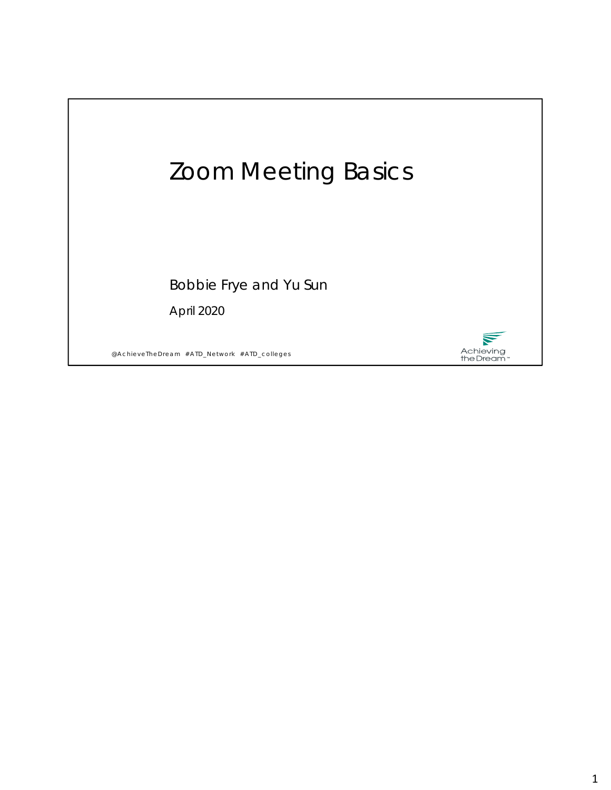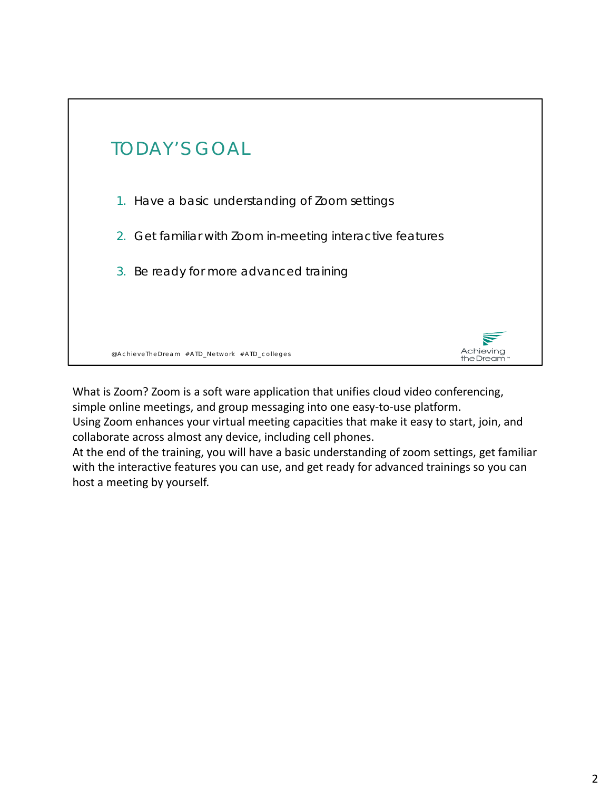

What is Zoom? Zoom is a soft ware application that unifies cloud video conferencing, simple online meetings, and group messaging into one easy-to-use platform.

Using Zoom enhances your virtual meeting capacities that make it easy to start, join, and collaborate across almost any device, including cell phones.

At the end of the training, you will have a basic understanding of zoom settings, get familiar with the interactive features you can use, and get ready for advanced trainings so you can host a meeting by yourself.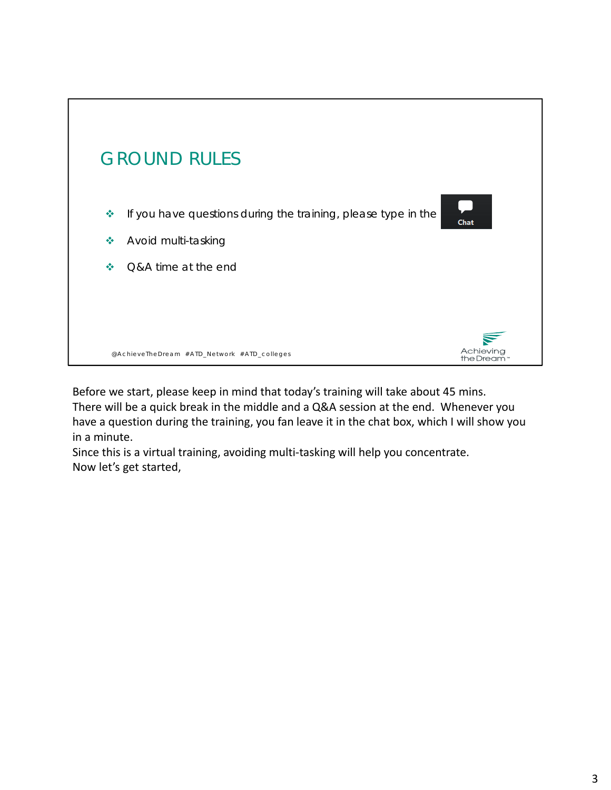

Before we start, please keep in mind that today's training will take about 45 mins. There will be a quick break in the middle and a Q&A session at the end. Whenever you have a question during the training, you fan leave it in the chat box, which I will show you in a minute.

Since this is a virtual training, avoiding multi‐tasking will help you concentrate. Now let's get started,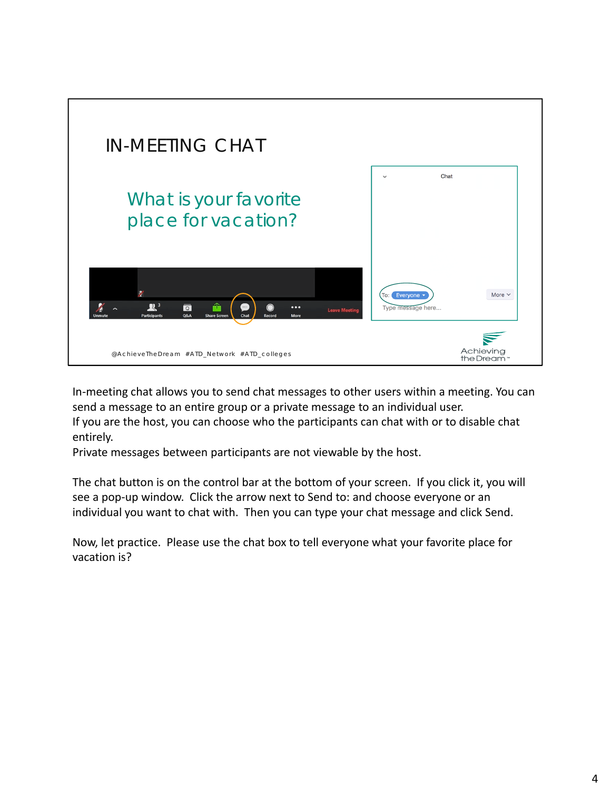

In-meeting chat allows you to send chat messages to other users within a meeting. You can send a message to an entire group or a private message to an individual user. If you are the host, you can choose who the participants can chat with or to disable chat entirely.

Private messages between participants are not viewable by the host.

The chat button is on the control bar at the bottom of your screen. If you click it, you will see a pop-up window. Click the arrow next to Send to: and choose everyone or an individual you want to chat with. Then you can type your chat message and click Send.

Now, let practice. Please use the chat box to tell everyone what your favorite place for vacation is?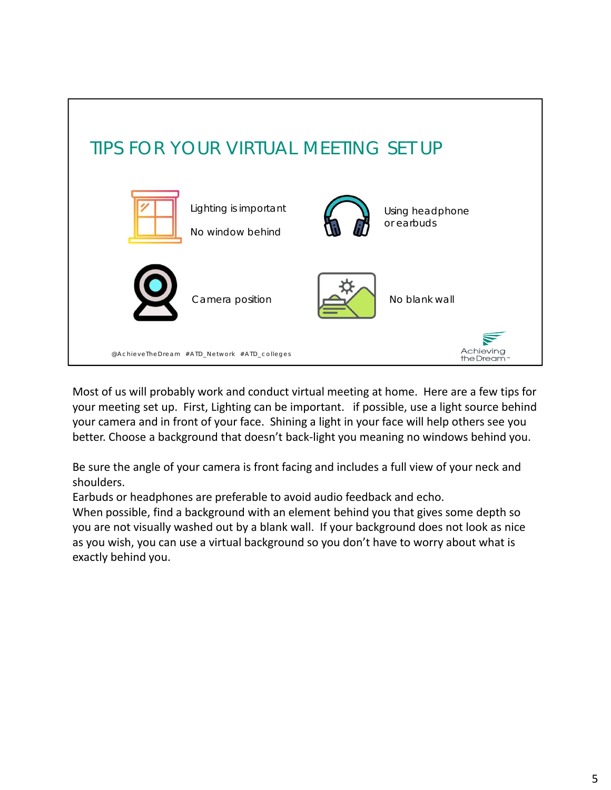

Most of us will probably work and conduct virtual meeting at home. Here are a few tips for your meeting set up. First, Lighting can be important. if possible, use a light source behind your camera and in front of your face. Shining a light in your face will help others see you better. Choose a background that doesn't back‐light you meaning no windows behind you.

Be sure the angle of your camera is front facing and includes a full view of your neck and shoulders.

Earbuds or headphones are preferable to avoid audio feedback and echo.

When possible, find a background with an element behind you that gives some depth so you are not visually washed out by a blank wall. If your background does not look as nice as you wish, you can use a virtual background so you don't have to worry about what is exactly behind you.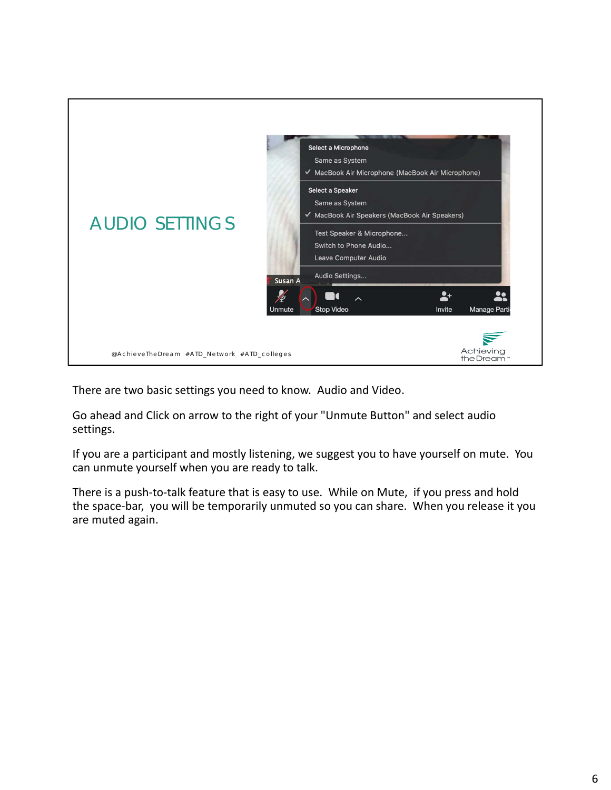

There are two basic settings you need to know. Audio and Video.

Go ahead and Click on arrow to the right of your "Unmute Button" and select audio settings.

If you are a participant and mostly listening, we suggest you to have yourself on mute. You can unmute yourself when you are ready to talk.

There is a push-to-talk feature that is easy to use. While on Mute, if you press and hold the space‐bar, you will be temporarily unmuted so you can share. When you release it you are muted again.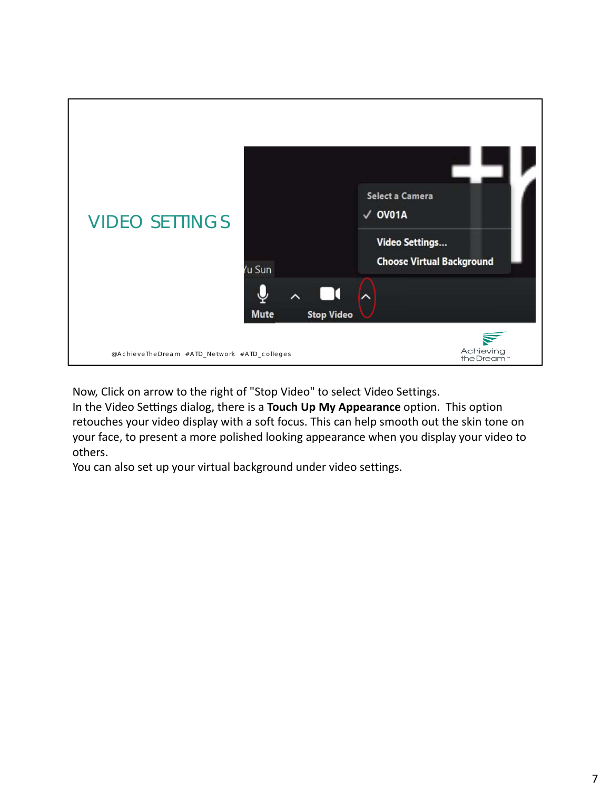

Now, Click on arrow to the right of "Stop Video" to select Video Settings.

In the Video Settings dialog, there is a **Touch Up My Appearance** option. This option retouches your video display with a soft focus. This can help smooth out the skin tone on your face, to present a more polished looking appearance when you display your video to others.

You can also set up your virtual background under video settings.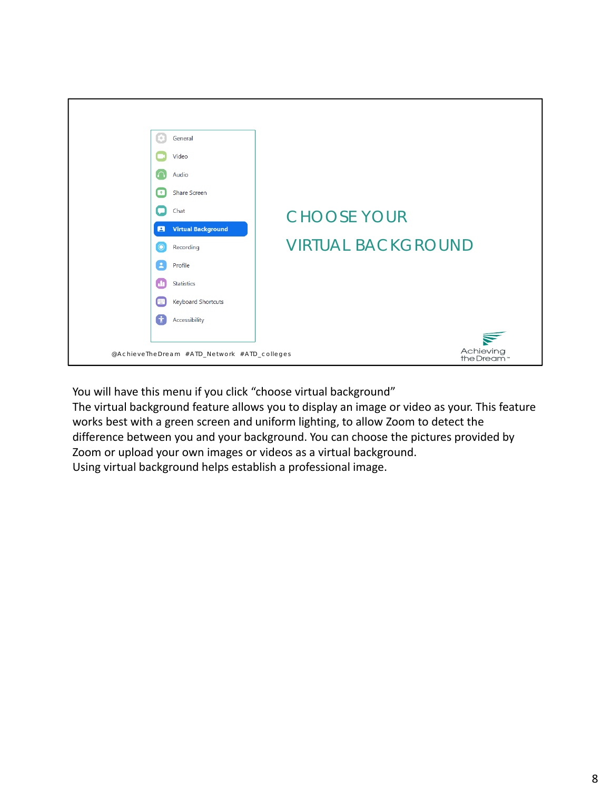

You will have this menu if you click "choose virtual background"

The virtual background feature allows you to display an image or video as your. This feature works best with a green screen and uniform lighting, to allow Zoom to detect the difference between you and your background. You can choose the pictures provided by Zoom or upload your own images or videos as a virtual background. Using virtual background helps establish a professional image.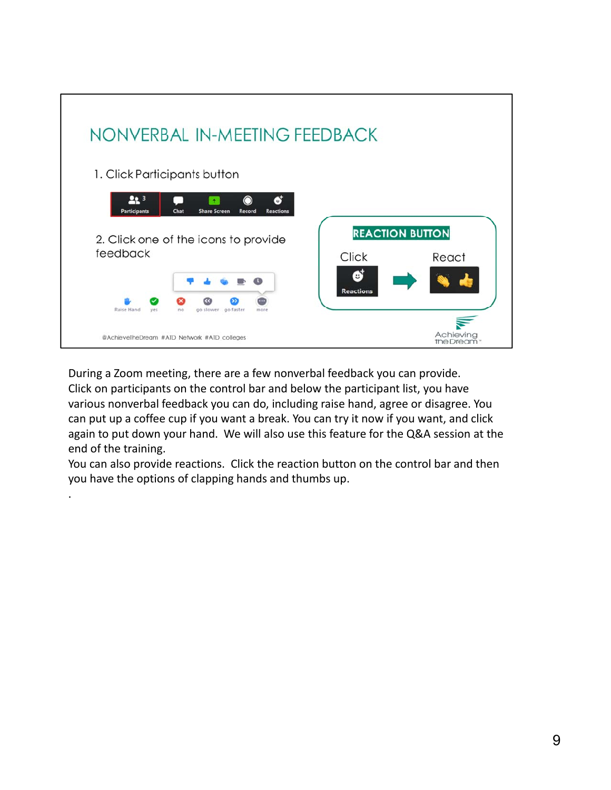

During a Zoom meeting, there are a few nonverbal feedback you can provide. Click on participants on the control bar and below the participant list, you have various nonverbal feedback you can do, including raise hand, agree or disagree. You can put up a coffee cup if you want a break. You can try it now if you want, and click again to put down your hand. We will also use this feature for the Q&A session at the end of the training.

You can also provide reactions. Click the reaction button on the control bar and then you have the options of clapping hands and thumbs up.

.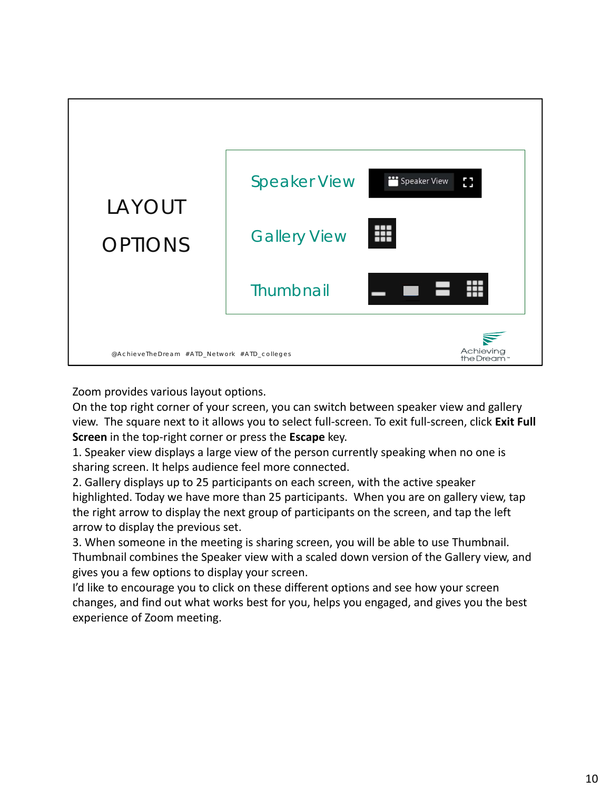

Zoom provides various layout options.

On the top right corner of your screen, you can switch between speaker view and gallery view. The square next to it allows you to select full‐screen. To exit full‐screen, click **Exit Full Screen** in the top‐right corner or press the **Escape** key.

1. Speaker view displays a large view of the person currently speaking when no one is sharing screen. It helps audience feel more connected.

2. Gallery displays up to 25 participants on each screen, with the active speaker highlighted. Today we have more than 25 participants. When you are on gallery view, tap the right arrow to display the next group of participants on the screen, and tap the left arrow to display the previous set.

3. When someone in the meeting is sharing screen, you will be able to use Thumbnail. Thumbnail combines the Speaker view with a scaled down version of the Gallery view, and gives you a few options to display your screen.

I'd like to encourage you to click on these different options and see how your screen changes, and find out what works best for you, helps you engaged, and gives you the best experience of Zoom meeting.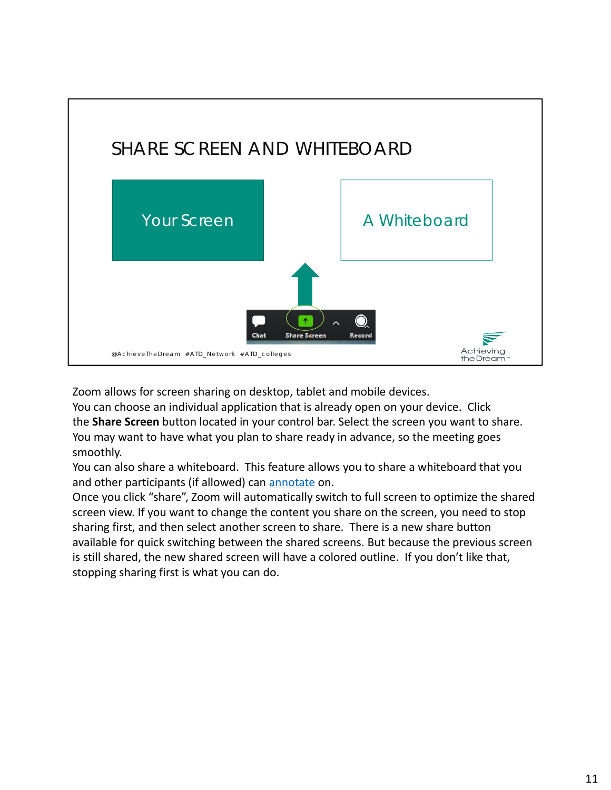

Zoom allows for screen sharing on desktop, tablet and mobile devices.

You can choose an individual application that is already open on your device. Click the **Share Screen** button located in your control bar. Select the screen you want to share. You may want to have what you plan to share ready in advance, so the meeting goes smoothly.

You can also share a whiteboard. This feature allows you to share a whiteboard that you and other participants (if allowed) can annotate on.

Once you click "share", Zoom will automatically switch to full screen to optimize the shared screen view. If you want to change the content you share on the screen, you need to stop sharing first, and then select another screen to share. There is a new share button available for quick switching between the shared screens. But because the previous screen is still shared, the new shared screen will have a colored outline. If you don't like that, stopping sharing first is what you can do.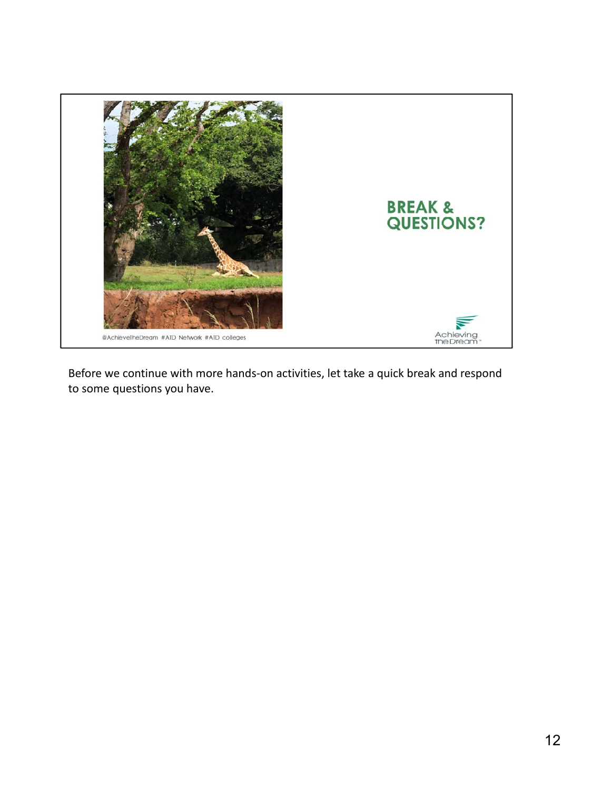

Before we continue with more hands‐on activities, let take a quick break and respond to some questions you have.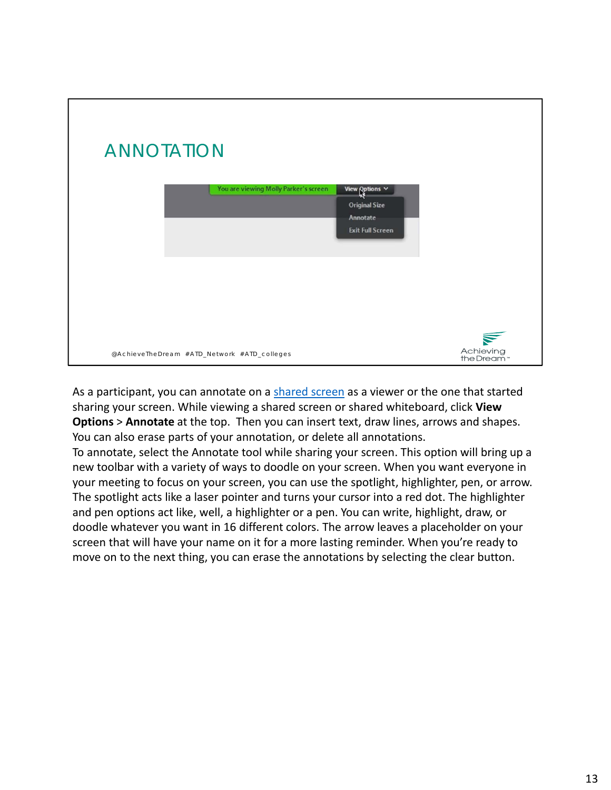

As a participant, you can annotate on a shared screen as a viewer or the one that started sharing your screen. While viewing a shared screen or shared whiteboard, click **View Options** > **Annotate** at the top. Then you can insert text, draw lines, arrows and shapes. You can also erase parts of your annotation, or delete all annotations.

To annotate, select the Annotate tool while sharing your screen. This option will bring up a new toolbar with a variety of ways to doodle on your screen. When you want everyone in your meeting to focus on your screen, you can use the spotlight, highlighter, pen, or arrow. The spotlight acts like a laser pointer and turns your cursor into a red dot. The highlighter and pen options act like, well, a highlighter or a pen. You can write, highlight, draw, or doodle whatever you want in 16 different colors. The arrow leaves a placeholder on your screen that will have your name on it for a more lasting reminder. When you're ready to move on to the next thing, you can erase the annotations by selecting the clear button.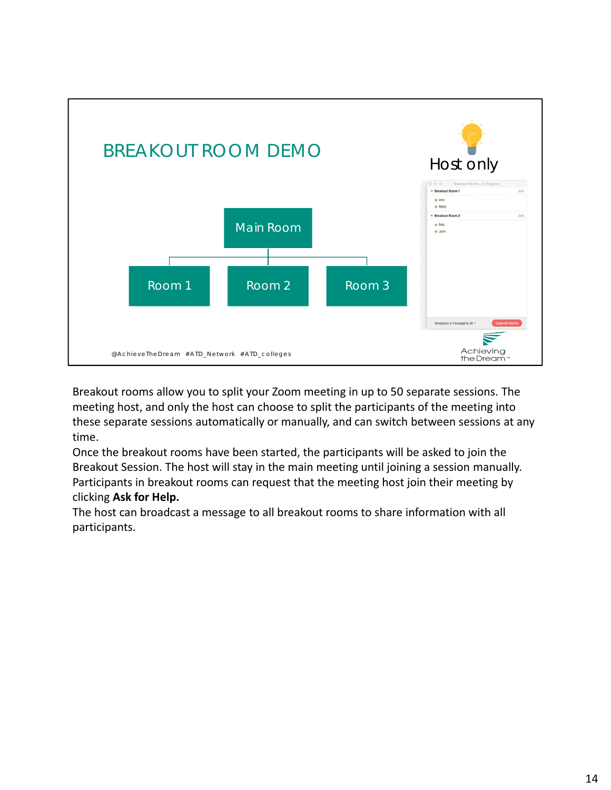

Breakout rooms allow you to split your Zoom meeting in up to 50 separate sessions. The meeting host, and only the host can choose to split the participants of the meeting into these separate sessions automatically or manually, and can switch between sessions at any time.

Once the breakout rooms have been started, the participants will be asked to join the Breakout Session. The host will stay in the main meeting until joining a session manually. Participants in breakout rooms can request that the meeting host join their meeting by clicking **Ask for Help.**

The host can broadcast a message to all breakout rooms to share information with all participants.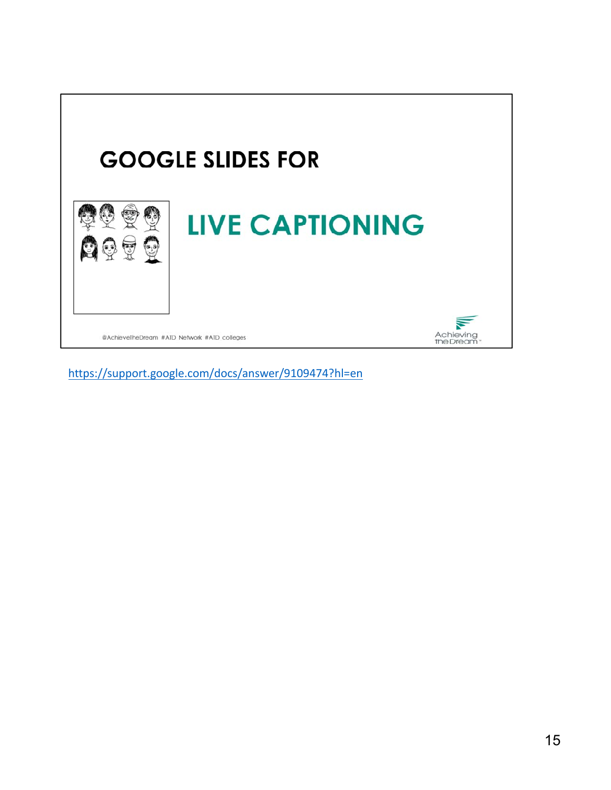

https://support.google.com/docs/answer/9109474?hl=en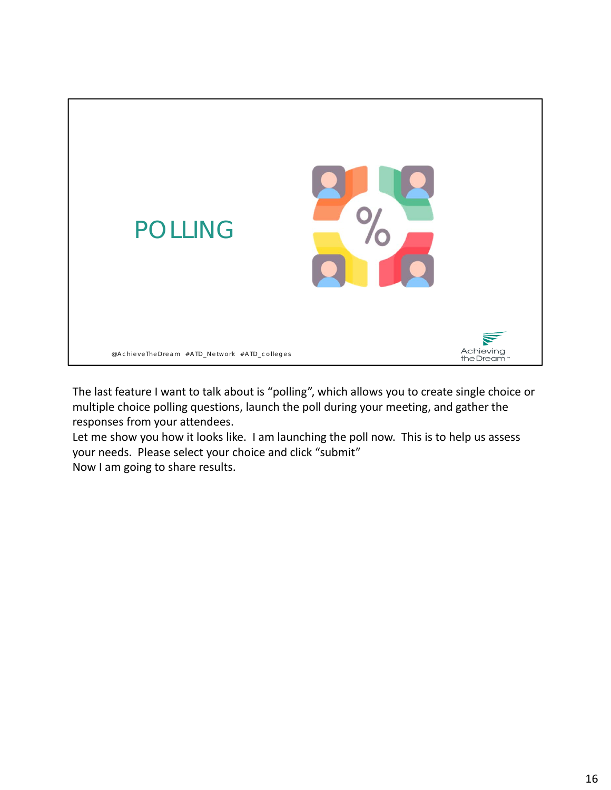

The last feature I want to talk about is "polling", which allows you to create single choice or multiple choice polling questions, launch the poll during your meeting, and gather the responses from your attendees.

Let me show you how it looks like. I am launching the poll now. This is to help us assess your needs. Please select your choice and click "submit" Now I am going to share results.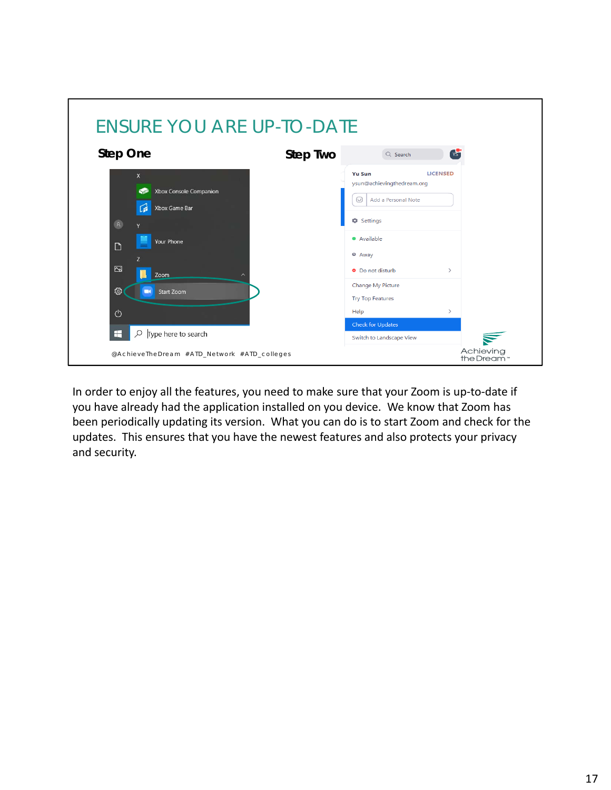

In order to enjoy all the features, you need to make sure that your Zoom is up‐to‐date if you have already had the application installed on you device. We know that Zoom has been periodically updating its version. What you can do is to start Zoom and check for the updates. This ensures that you have the newest features and also protects your privacy and security.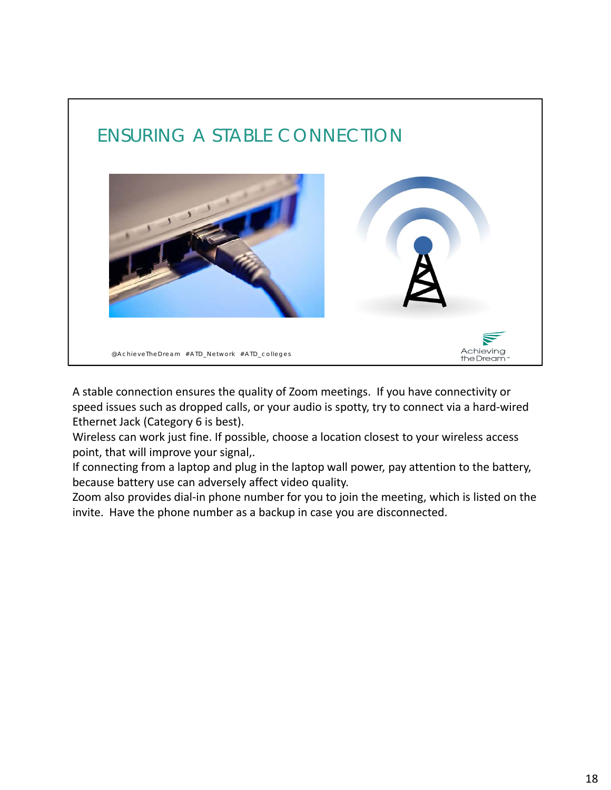

A stable connection ensures the quality of Zoom meetings. If you have connectivity or speed issues such as dropped calls, or your audio is spotty, try to connect via a hard‐wired Ethernet Jack (Category 6 is best).

Wireless can work just fine. If possible, choose a location closest to your wireless access point, that will improve your signal,.

If connecting from a laptop and plug in the laptop wall power, pay attention to the battery, because battery use can adversely affect video quality.

Zoom also provides dial‐in phone number for you to join the meeting, which is listed on the invite. Have the phone number as a backup in case you are disconnected.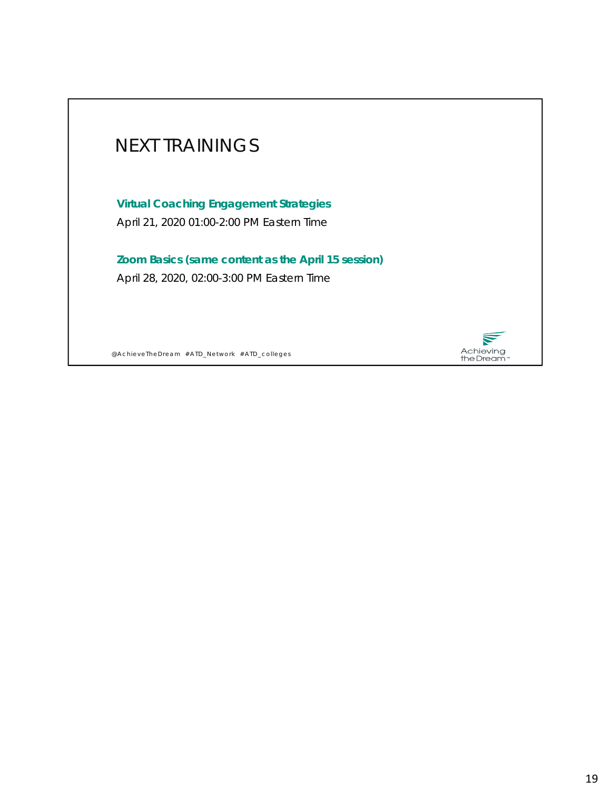

@AchieveTheDream #ATD\_Network #ATD\_colleges